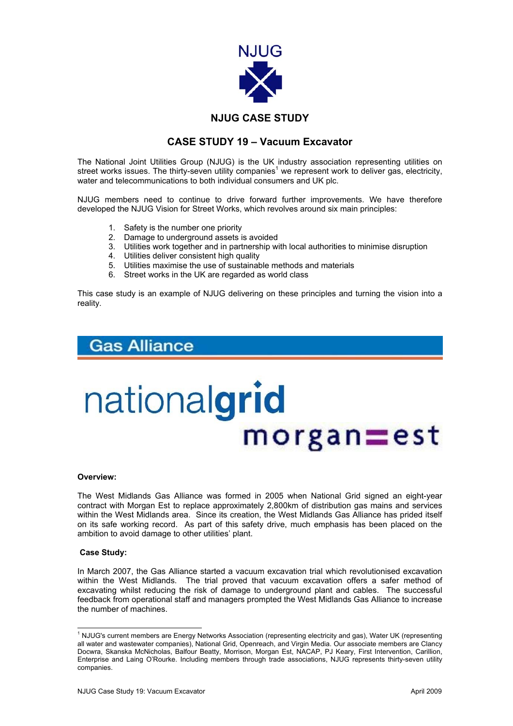

### **CASE STUDY 19 – Vacuum Excavator**

The National Joint Utilities Group (NJUG) is the UK industry association representing utilities on street works issues. The thirty-seven utility companies<sup>[1](#page-0-0)</sup> we represent work to deliver gas, electricity, water and telecommunications to both individual consumers and UK plc.

NJUG members need to continue to drive forward further improvements. We have therefore developed the NJUG Vision for Street Works, which revolves around six main principles:

- 1. Safety is the number one priority
- 2. Damage to underground assets is avoided
- 3. Utilities work together and in partnership with local authorities to minimise disruption
- 4. Utilities deliver consistent high quality
- 5. Utilities maximise the use of sustainable methods and materials
- 6. Street works in the UK are regarded as world class

This case study is an example of NJUG delivering on these principles and turning the vision into a reality.

## **Gas Alliance**

# nationalgrid  $m$ organ $=$ est

### **Overview:**

The West Midlands Gas Alliance was formed in 2005 when National Grid signed an eight-year contract with Morgan Est to replace approximately 2,800km of distribution gas mains and services within the West Midlands area. Since its creation, the West Midlands Gas Alliance has prided itself on its safe working record. As part of this safety drive, much emphasis has been placed on the ambition to avoid damage to other utilities' plant.

### **Case Study:**

In March 2007, the Gas Alliance started a vacuum excavation trial which revolutionised excavation within the West Midlands.The trial proved that vacuum excavation offers a safer method of excavating whilst reducing the risk of damage to underground plant and cables. The successful feedback from operational staff and managers prompted the West Midlands Gas Alliance to increase the number of machines.

<span id="page-0-0"></span> $\frac{1}{1}$ <sup>1</sup> NJUG's current members are Energy Networks Association (representing electricity and gas), Water UK (representing all water and wastewater companies), National Grid, Openreach, and Virgin Media. Our associate members are Clancy Docwra, Skanska McNicholas, Balfour Beatty, Morrison, Morgan Est, NACAP, PJ Keary, First Intervention, Carillion, Enterprise and Laing O'Rourke. Including members through trade associations, NJUG represents thirty-seven utility companies.